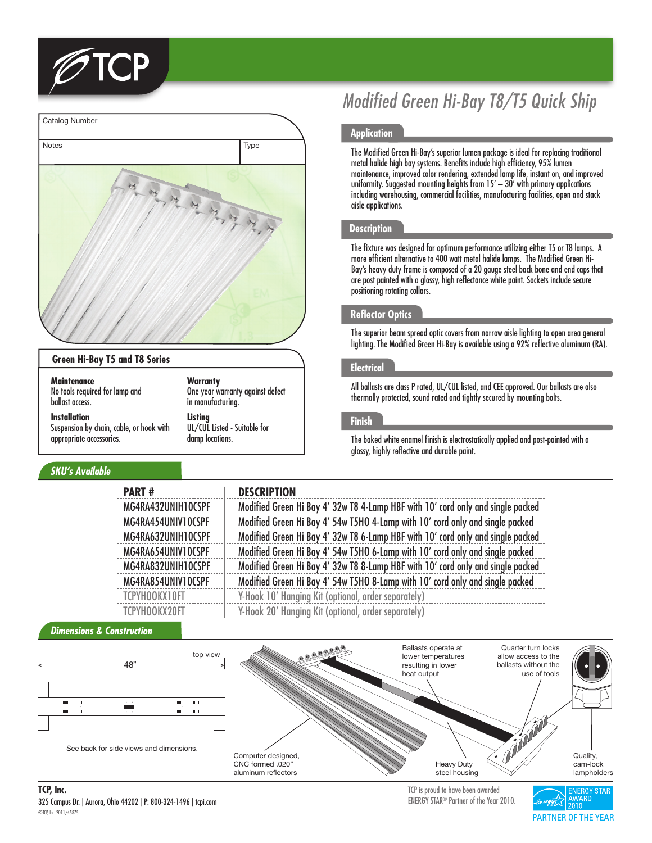



#### **Green Hi-Bay T5 and T8 Series**

**Maintenance** No tools required for lamp and ballast access.

**Installation** Suspension by chain, cable, or hook with appropriate accessories.

## *SKU's Available*

#### **Warranty**

One year warranty against defect in manufacturing.

### **Listing**

UL/CUL Listed - Suitable for damp locations.

# *Modified Green Hi-Bay T8/T5 Quick Ship*

#### **Application**

The Modified Green Hi-Bay's superior lumen package is ideal for replacing traditional metal halide high bay systems. Benefits include high efficiency, 95% lumen maintenance, improved color rendering, extended lamp life, instant on, and improved uniformity. Suggested mounting heights from 15' – 30' with primary applications including warehousing, commercial facilities, manufacturing facilities, open and stack aisle applications.

#### **Description**

The fixture was designed for optimum performance utilizing either T5 or T8 lamps. A more efficient alternative to 400 watt metal halide lamps. The Modified Green Hi-Bay's heavy duty frame is composed of a 20 gauge steel back bone and end caps that are post painted with a glossy, high reflectance white paint. Sockets include secure positioning rotating collars.

#### **Reflector Optics**

The superior beam spread optic covers from narrow aisle lighting to open area general lighting. The Modified Green Hi-Bay is available using a 92% reflective aluminum (RA).

#### **Electrical**

All ballasts are class P rated, UL/CUL listed, and CEE approved. Our ballasts are also thermally protected, sound rated and tightly secured by mounting bolts.

#### **Finish**

The baked white enamel finish is electrostatically applied and post-painted with a glossy, highly reflective and durable paint.

| <b>PART#</b>       | <b>DESCRIPTION</b>                                                              |
|--------------------|---------------------------------------------------------------------------------|
| MG4RA432UNIH10CSPF | Modified Green Hi Bay 4' 32w T8 4-Lamp HBF with 10' cord only and single packed |
| MG4RA454UNIV10CSPF | Modified Green Hi Bay 4' 54w T5HO 4-Lamp with 10' cord only and single packed   |
| MG4RA632UNIH10CSPF | Modified Green Hi Bay 4' 32w T8 6-Lamp HBF with 10' cord only and single packed |
| MG4RA654UNIV10CSPF | Modified Green Hi Bay 4' 54w T5HO 6-Lamp with 10' cord only and single packed   |
| MG4RA832UNIH10CSPF | Modified Green Hi Bay 4' 32w T8 8-Lamp HBF with 10' cord only and single packed |
| MG4RA854UNIV10CSPF | Modified Green Hi Bay 4' 54w T5HO 8-Lamp with 10' cord only and single packed   |
| TCPYHOOKX10FT      | Y-Hook 10' Hanging Kit (optional, order separately)                             |
| TCPYHOOKX20FT      | Y-Hook 20' Hanging Kit (optional, order separately)                             |

#### *Dimensions & Construction*



325 Campus Dr. | Aurora, Ohio 44202 | P: 800-324-1496 | tcpi.com ©TCP, Inc. 2011/45875 **TCP, Inc.** TCP is proud to have been awarded

ENERGY STAR® Partner of the Year 2010.